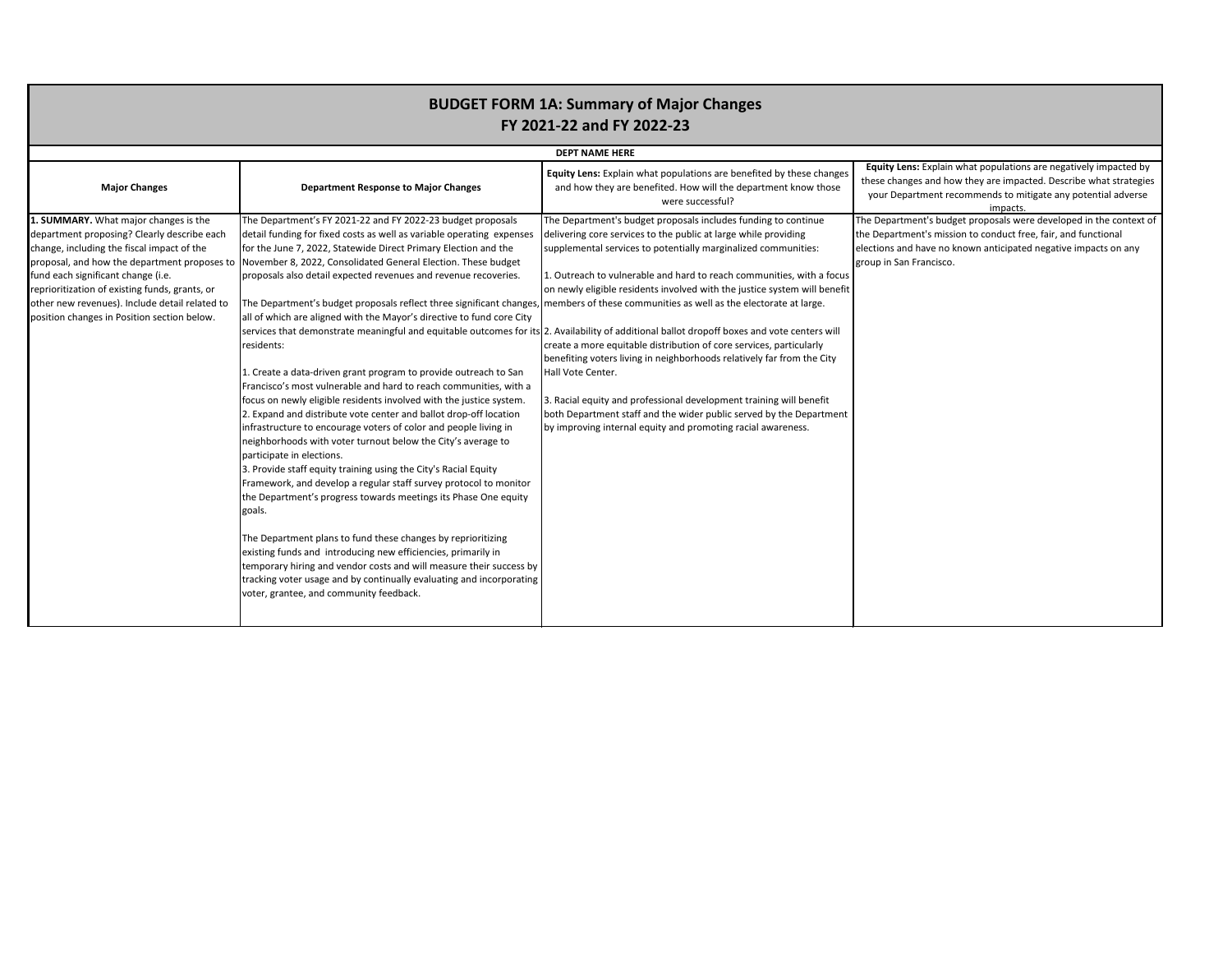in what populations are negatively impacted by now they are impacted. Describe what strategies recommends to mitigate any potential adverse impacts.

dget proposals were developed in the context of ssion to conduct free, fair, and functional elections and icipated negative impacts on any

|                                                                                                                                                                                                                                                                                                                                                                             | <b>DEPT NAME HERE</b>                                                                                                                                                                                                                                                                                                                                                                                                                                                                                                                                                                                                                                                                                                                                                                                                                                                                                                                                                                                                                                                                                                                                                                                                                                                                                                                                                                                                                                                                                                                                                             |                                                                                                                                                                                                                                                                                                                                                                                                                                                                                                                                                                                                                                                                                                                                                                                                                                                                                               |                                                                                                       |  |
|-----------------------------------------------------------------------------------------------------------------------------------------------------------------------------------------------------------------------------------------------------------------------------------------------------------------------------------------------------------------------------|-----------------------------------------------------------------------------------------------------------------------------------------------------------------------------------------------------------------------------------------------------------------------------------------------------------------------------------------------------------------------------------------------------------------------------------------------------------------------------------------------------------------------------------------------------------------------------------------------------------------------------------------------------------------------------------------------------------------------------------------------------------------------------------------------------------------------------------------------------------------------------------------------------------------------------------------------------------------------------------------------------------------------------------------------------------------------------------------------------------------------------------------------------------------------------------------------------------------------------------------------------------------------------------------------------------------------------------------------------------------------------------------------------------------------------------------------------------------------------------------------------------------------------------------------------------------------------------|-----------------------------------------------------------------------------------------------------------------------------------------------------------------------------------------------------------------------------------------------------------------------------------------------------------------------------------------------------------------------------------------------------------------------------------------------------------------------------------------------------------------------------------------------------------------------------------------------------------------------------------------------------------------------------------------------------------------------------------------------------------------------------------------------------------------------------------------------------------------------------------------------|-------------------------------------------------------------------------------------------------------|--|
| <b>Major Changes</b>                                                                                                                                                                                                                                                                                                                                                        | <b>Department Response to Major Changes</b>                                                                                                                                                                                                                                                                                                                                                                                                                                                                                                                                                                                                                                                                                                                                                                                                                                                                                                                                                                                                                                                                                                                                                                                                                                                                                                                                                                                                                                                                                                                                       | Equity Lens: Explain what populations are benefited by these changes<br>and how they are benefited. How will the department know those<br>were successful?                                                                                                                                                                                                                                                                                                                                                                                                                                                                                                                                                                                                                                                                                                                                    | <b>Equity Lens: Explain</b><br>these changes and how<br>your Department red                           |  |
| 1. SUMMARY. What major changes is the<br>department proposing? Clearly describe each<br>change, including the fiscal impact of the<br>proposal, and how the department proposes to<br>fund each significant change (i.e.<br>reprioritization of existing funds, grants, or<br>other new revenues). Include detail related to<br>position changes in Position section below. | The Department's FY 2021-22 and FY 2022-23 budget proposals<br>detail funding for fixed costs as well as variable operating expenses<br>for the June 7, 2022, Statewide Direct Primary Election and the<br>November 8, 2022, Consolidated General Election. These budget<br>proposals also detail expected revenues and revenue recoveries.<br>The Department's budget proposals reflect three significant changes, members of these communities as well as the electorate at large.<br>all of which are aligned with the Mayor's directive to fund core City<br>residents:<br>1. Create a data-driven grant program to provide outreach to San<br>Francisco's most vulnerable and hard to reach communities, with a<br>focus on newly eligible residents involved with the justice system.<br>2. Expand and distribute vote center and ballot drop-off location<br>infrastructure to encourage voters of color and people living in<br>neighborhoods with voter turnout below the City's average to<br>participate in elections.<br>3. Provide staff equity training using the City's Racial Equity<br>Framework, and develop a regular staff survey protocol to monitor<br>the Department's progress towards meetings its Phase One equity<br>goals.<br>The Department plans to fund these changes by reprioritizing<br>existing funds and introducing new efficiencies, primarily in<br>temporary hiring and vendor costs and will measure their success by<br>tracking voter usage and by continually evaluating and incorporating<br>voter, grantee, and community feedback. | The Department's budget proposals includes funding to continue<br>delivering core services to the public at large while providing<br>supplemental services to potentially marginalized communities:<br>1. Outreach to vulnerable and hard to reach communities, with a focus<br>on newly eligible residents involved with the justice system will benefit<br>services that demonstrate meaningful and equitable outcomes for its 2. Availability of additional ballot dropoff boxes and vote centers will<br>create a more equitable distribution of core services, particularly<br>benefiting voters living in neighborhoods relatively far from the City<br>Hall Vote Center.<br>3. Racial equity and professional development training will benefit<br>both Department staff and the wider public served by the Department<br>by improving internal equity and promoting racial awareness. | The Department's budg<br>the Department's missi<br>elections and have no k<br>group in San Francisco. |  |

## **BUDGET FORM 1A: Summary of Major Changes FY 2021-22 and FY 2022-23**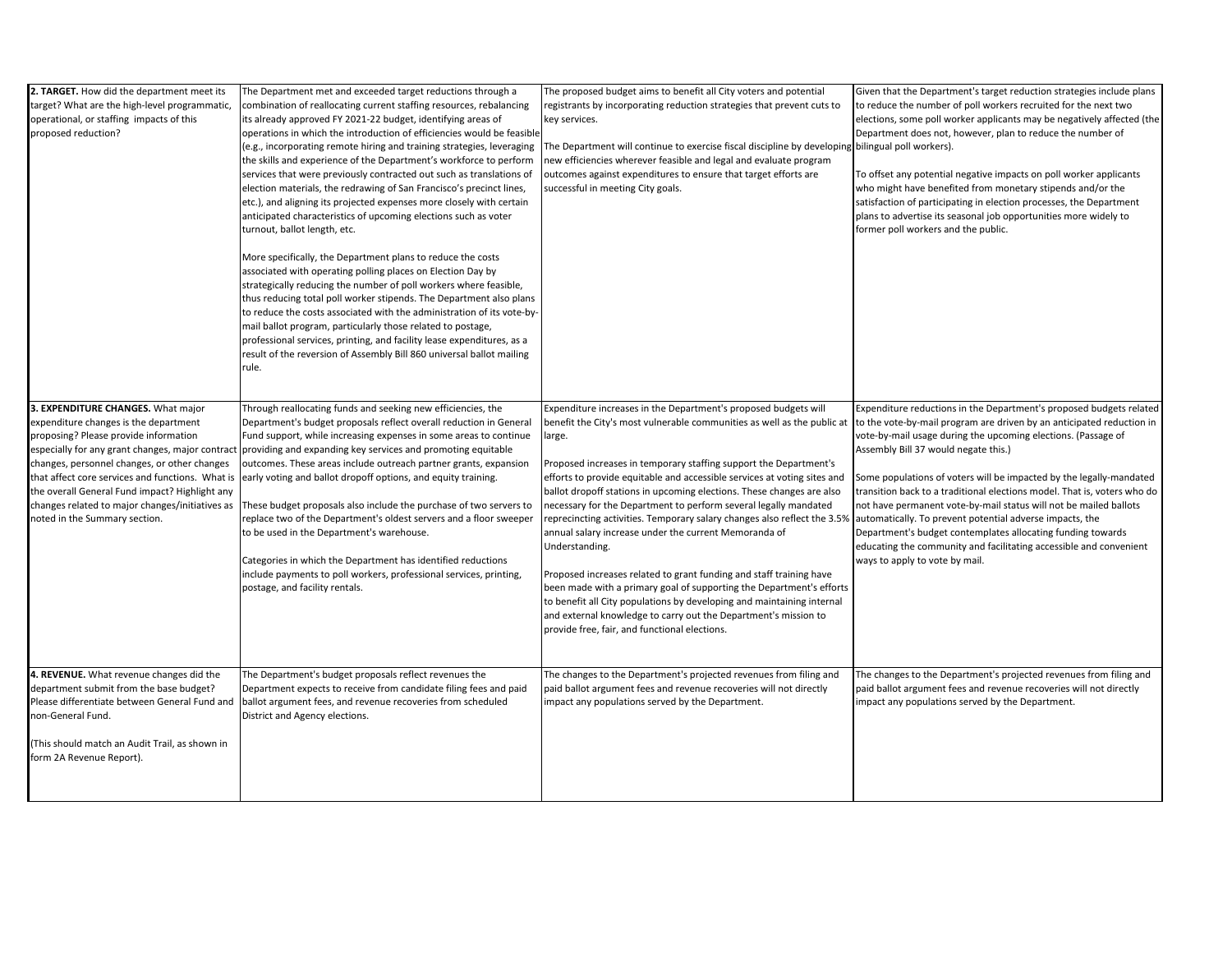| 2. TARGET. How did the department meet its<br>target? What are the high-level programmatic,<br>operational, or staffing impacts of this<br>proposed reduction? | The Department met and exceeded target reductions through a<br>combination of reallocating current staffing resources, rebalancing<br>its already approved FY 2021-22 budget, identifying areas of<br>operations in which the introduction of efficiencies would be feasible<br>(e.g., incorporating remote hiring and training strategies, leveraging<br>the skills and experience of the Department's workforce to perform<br>services that were previously contracted out such as translations of | The proposed budget aims to benefit all City voters and potential<br>registrants by incorporating reduction strategies that prevent cuts to<br>key services.<br>The Department will continue to exercise fiscal discipline by developing bilingual poll workers).<br>new efficiencies wherever feasible and legal and evaluate program<br>outcomes against expenditures to ensure that target efforts are | Given that the Departm<br>to reduce the number o<br>elections, some poll wo<br>Department does not, I<br>To offset any potential |
|----------------------------------------------------------------------------------------------------------------------------------------------------------------|------------------------------------------------------------------------------------------------------------------------------------------------------------------------------------------------------------------------------------------------------------------------------------------------------------------------------------------------------------------------------------------------------------------------------------------------------------------------------------------------------|-----------------------------------------------------------------------------------------------------------------------------------------------------------------------------------------------------------------------------------------------------------------------------------------------------------------------------------------------------------------------------------------------------------|----------------------------------------------------------------------------------------------------------------------------------|
|                                                                                                                                                                | election materials, the redrawing of San Francisco's precinct lines,<br>etc.), and aligning its projected expenses more closely with certain<br>anticipated characteristics of upcoming elections such as voter<br>turnout, ballot length, etc.<br>More specifically, the Department plans to reduce the costs<br>associated with operating polling places on Election Day by<br>strategically reducing the number of poll workers where feasible,                                                   | successful in meeting City goals.                                                                                                                                                                                                                                                                                                                                                                         | who might have benefi<br>satisfaction of participa<br>plans to advertise its se<br>former poll workers an                        |
|                                                                                                                                                                | thus reducing total poll worker stipends. The Department also plans<br>to reduce the costs associated with the administration of its vote-by-<br>mail ballot program, particularly those related to postage,<br>professional services, printing, and facility lease expenditures, as a<br>result of the reversion of Assembly Bill 860 universal ballot mailing<br>rule.                                                                                                                             |                                                                                                                                                                                                                                                                                                                                                                                                           |                                                                                                                                  |
| 3. EXPENDITURE CHANGES. What major                                                                                                                             | Through reallocating funds and seeking new efficiencies, the                                                                                                                                                                                                                                                                                                                                                                                                                                         | Expenditure increases in the Department's proposed budgets will                                                                                                                                                                                                                                                                                                                                           | <b>Expenditure reductions</b>                                                                                                    |
| expenditure changes is the department                                                                                                                          | Department's budget proposals reflect overall reduction in General                                                                                                                                                                                                                                                                                                                                                                                                                                   | benefit the City's most vulnerable communities as well as the public at                                                                                                                                                                                                                                                                                                                                   | to the vote-by-mail pro                                                                                                          |
| proposing? Please provide information                                                                                                                          | Fund support, while increasing expenses in some areas to continue                                                                                                                                                                                                                                                                                                                                                                                                                                    | large.                                                                                                                                                                                                                                                                                                                                                                                                    | vote-by-mail usage dur                                                                                                           |
|                                                                                                                                                                | especially for any grant changes, major contract providing and expanding key services and promoting equitable                                                                                                                                                                                                                                                                                                                                                                                        |                                                                                                                                                                                                                                                                                                                                                                                                           | Assembly Bill 37 would                                                                                                           |
| changes, personnel changes, or other changes                                                                                                                   | outcomes. These areas include outreach partner grants, expansion                                                                                                                                                                                                                                                                                                                                                                                                                                     | Proposed increases in temporary staffing support the Department's                                                                                                                                                                                                                                                                                                                                         |                                                                                                                                  |
| that affect core services and functions. What is                                                                                                               | early voting and ballot dropoff options, and equity training.                                                                                                                                                                                                                                                                                                                                                                                                                                        | efforts to provide equitable and accessible services at voting sites and                                                                                                                                                                                                                                                                                                                                  | Some populations of vo                                                                                                           |
| the overall General Fund impact? Highlight any                                                                                                                 |                                                                                                                                                                                                                                                                                                                                                                                                                                                                                                      | ballot dropoff stations in upcoming elections. These changes are also                                                                                                                                                                                                                                                                                                                                     | transition back to a tra                                                                                                         |
| changes related to major changes/initiatives as<br>noted in the Summary section.                                                                               | These budget proposals also include the purchase of two servers to<br>replace two of the Department's oldest servers and a floor sweeper<br>to be used in the Department's warehouse.                                                                                                                                                                                                                                                                                                                | necessary for the Department to perform several legally mandated<br>reprecincting activities. Temporary salary changes also reflect the 3.5%<br>annual salary increase under the current Memoranda of<br>Understanding.                                                                                                                                                                                   | not have permanent vo<br>automatically. To preve<br>Department's budget c<br>educating the commun                                |
|                                                                                                                                                                | Categories in which the Department has identified reductions                                                                                                                                                                                                                                                                                                                                                                                                                                         |                                                                                                                                                                                                                                                                                                                                                                                                           | ways to apply to vote b                                                                                                          |
|                                                                                                                                                                | include payments to poll workers, professional services, printing,                                                                                                                                                                                                                                                                                                                                                                                                                                   | Proposed increases related to grant funding and staff training have                                                                                                                                                                                                                                                                                                                                       |                                                                                                                                  |
|                                                                                                                                                                | postage, and facility rentals.                                                                                                                                                                                                                                                                                                                                                                                                                                                                       | been made with a primary goal of supporting the Department's efforts<br>to benefit all City populations by developing and maintaining internal                                                                                                                                                                                                                                                            |                                                                                                                                  |
|                                                                                                                                                                |                                                                                                                                                                                                                                                                                                                                                                                                                                                                                                      | and external knowledge to carry out the Department's mission to                                                                                                                                                                                                                                                                                                                                           |                                                                                                                                  |
|                                                                                                                                                                |                                                                                                                                                                                                                                                                                                                                                                                                                                                                                                      | provide free, fair, and functional elections.                                                                                                                                                                                                                                                                                                                                                             |                                                                                                                                  |
|                                                                                                                                                                |                                                                                                                                                                                                                                                                                                                                                                                                                                                                                                      |                                                                                                                                                                                                                                                                                                                                                                                                           |                                                                                                                                  |
| 4. REVENUE. What revenue changes did the                                                                                                                       | The Department's budget proposals reflect revenues the                                                                                                                                                                                                                                                                                                                                                                                                                                               | The changes to the Department's projected revenues from filing and                                                                                                                                                                                                                                                                                                                                        | The changes to the Dep                                                                                                           |
| department submit from the base budget?                                                                                                                        | Department expects to receive from candidate filing fees and paid                                                                                                                                                                                                                                                                                                                                                                                                                                    | paid ballot argument fees and revenue recoveries will not directly                                                                                                                                                                                                                                                                                                                                        | paid ballot argument fe                                                                                                          |
| Please differentiate between General Fund and                                                                                                                  | ballot argument fees, and revenue recoveries from scheduled                                                                                                                                                                                                                                                                                                                                                                                                                                          | impact any populations served by the Department.                                                                                                                                                                                                                                                                                                                                                          | impact any populations                                                                                                           |
| non-General Fund.                                                                                                                                              | District and Agency elections.                                                                                                                                                                                                                                                                                                                                                                                                                                                                       |                                                                                                                                                                                                                                                                                                                                                                                                           |                                                                                                                                  |
| (This should match an Audit Trail, as shown in<br>form 2A Revenue Report).                                                                                     |                                                                                                                                                                                                                                                                                                                                                                                                                                                                                                      |                                                                                                                                                                                                                                                                                                                                                                                                           |                                                                                                                                  |
|                                                                                                                                                                |                                                                                                                                                                                                                                                                                                                                                                                                                                                                                                      |                                                                                                                                                                                                                                                                                                                                                                                                           |                                                                                                                                  |

tment's target reduction strategies include plans of poll workers recruited for the next two worker applicants may be negatively affected (the however, plan to reduce the number of

al negative impacts on poll worker applicants efited from monetary stipends and/or the pating in election processes, the Department seasonal job opportunities more widely to and the public.

ns in the Department's proposed budgets related rogram are driven by an anticipated reduction in uring the upcoming elections. (Passage of Id negate this.)

voters will be impacted by the legally-mandated raditional elections model. That is, voters who do vote-by-mail status will not be mailed ballots vent potential adverse impacts, the contemplates allocating funding towards unity and facilitating accessible and convenient by mail.

epartment's projected revenues from filing and fees and revenue recoveries will not directly ns served by the Department.